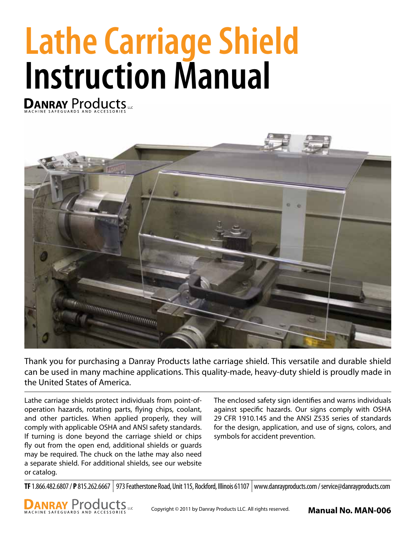# **Lathe Carriage Shield** Instruction Manual



Thank you for purchasing a Danray Products lathe carriage shield. This versatile and durable shield can be used in many machine applications. This quality-made, heavy-duty shield is proudly made in the United States of America.

Lathe carriage shields protect individuals from point-ofoperation hazards, rotating parts, flying chips, coolant, and other particles. When applied properly, they will comply with applicable OSHA and ANSI safety standards. If turning is done beyond the carriage shield or chips fly out from the open end, additional shields or guards may be required. The chuck on the lathe may also need a separate shield. For additional shields, see our website or catalog.

The enclosed safety sign identifies and warns individuals against specific hazards. Our signs comply with OSHA 29 CFR 1910.145 and the ANSI Z535 series of standards for the design, application, and use of signs, colors, and symbols for accident prevention.

**TF** 1.866.482.6807 / **P** 815.262.6667 973 Featherstone Road, Unit 115, Rockford, Illinois 61107 www.danrayproducts.com / service@danrayproducts.com

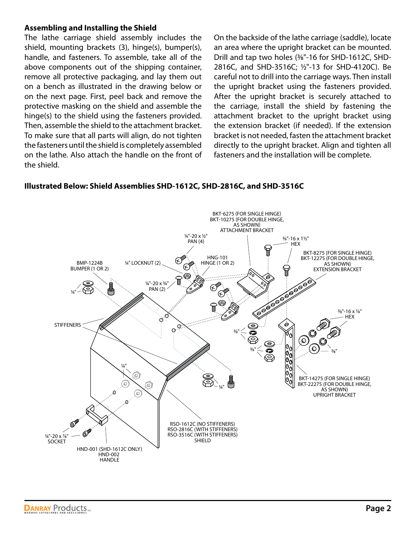### **Assembling and Installing the Shield**

The lathe carriage shield assembly includes the shield, mounting brackets (3), hinge(s), bumper(s), handle, and fasteners. To assemble, take all of the above components out of the shipping container, remove all protective packaging, and lay them out on a bench as illustrated in the drawing below or on the next page. First, peel back and remove the protective masking on the shield and assemble the hinge(s) to the shield using the fasteners provided. Then, assemble the shield to the attachment bracket. To make sure that all parts will align, do not tighten the fasteners until the shield is completely assembled on the lathe. Also attach the handle on the front of the shield.

On the backside of the lathe carriage (saddle), locate an area where the upright bracket can be mounted. Drill and tap two holes (3⁄8"-16 for SHD-1612C, SHD-2816C, and SHD-3516C; 1⁄2"-13 for SHD-4120C). Be careful not to drill into the carriage ways. Then install the upright bracket using the fasteners provided. After the upright bracket is securely attached to the carriage, install the shield by fastening the attachment bracket to the upright bracket using the extension bracket (if needed). If the extension bracket is not needed, fasten the attachment bracket directly to the upright bracket. Align and tighten all fasteners and the installation will be complete.

## **Illustrated Below: Shield Assemblies SHD-1612C, SHD-2816C, and SHD-3516C**

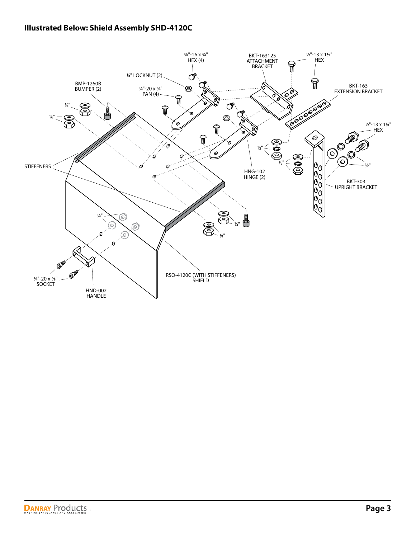# **Illustrated Below: Shield Assembly SHD-4120C**